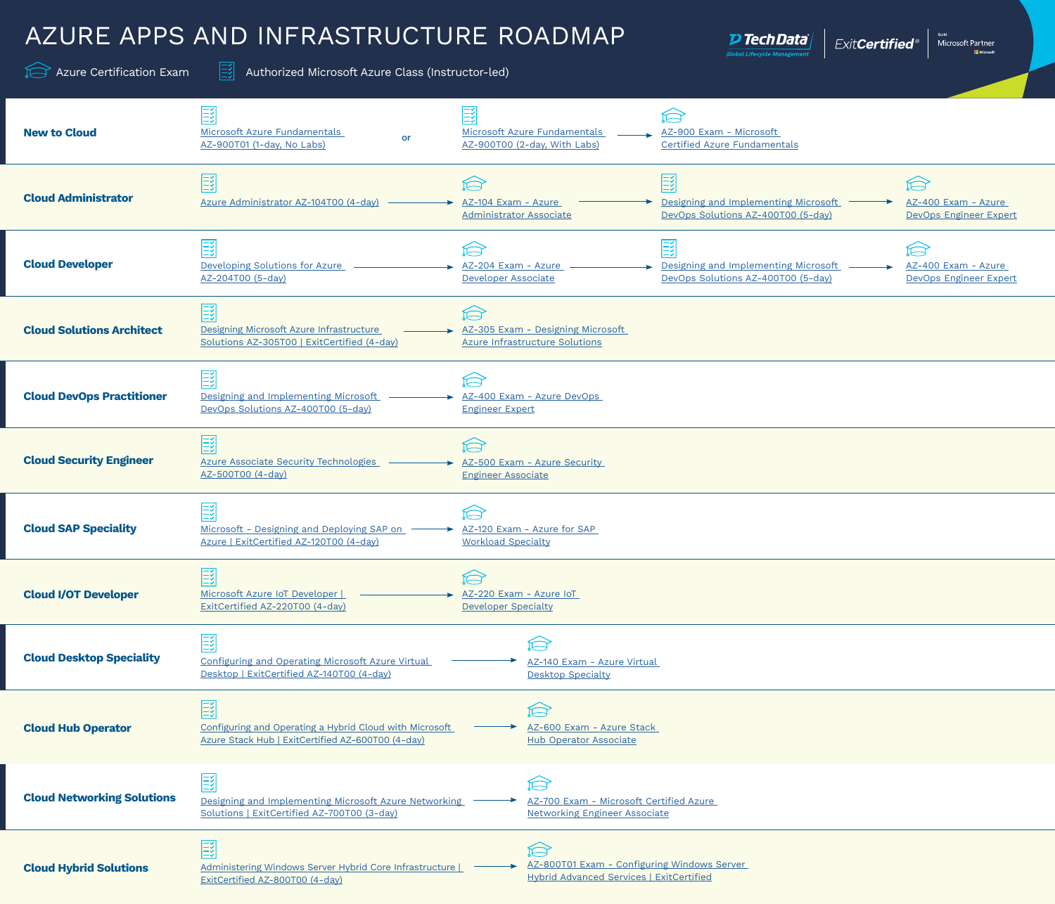## AZURE APPS AND INFRASTRUCTURE ROADMAP

Azure Certification Exam  $\boxed{\Xi^2}$  Authorized Microsoft Azure Class (Instructor-led)

 $\overline{\bm{\nu}}$  Tech Data $\overline{\bm{\nu}}$ 

<sub>Gold</sub><br>Microsoft Partner<br>Di<sup>nicrosoft</sup> ExitCertified®

| <b>New to Cloud</b>               | 國<br>Microsoft Azure Fundamentals<br>or<br>AZ-900T01 (1-day, No Labs)                                             | 國<br>Microsoft Azure Fundamentals<br>AZ-900 Exam - Microsoft<br>AZ-900T00 (2-day, With Labs)<br><b>Certified Azure Fundamentals</b>                                                            |
|-----------------------------------|-------------------------------------------------------------------------------------------------------------------|------------------------------------------------------------------------------------------------------------------------------------------------------------------------------------------------|
| <b>Cloud Administrator</b>        | 國<br>Azure Administrator AZ-104T00 (4-day)                                                                        | Í<br>Í<br>Designing and Implementing Microsoft<br>AZ-104 Exam - Azure<br>AZ-400 Exam - Azure<br>DevOps Solutions AZ-400T00 (5-day)<br><b>Administrator Associate</b><br>DevOps Engineer Expert |
| <b>Cloud Developer</b>            | 國<br>Developing Solutions for Azure<br>AZ-204T00 (5-day)                                                          | Designing and Implementing Microsoft<br>AZ-204 Exam - Azure<br>AZ-400 Exam - Azure<br>DevOps Solutions AZ-400T00 (5-day)<br>Developer Associate<br>DevOps Engineer Expert                      |
| <b>Cloud Solutions Architect</b>  | 國<br>Designing Microsoft Azure Infrastructure<br>Solutions AZ-305T00   ExitCertified (4-day)                      | Á<br>AZ-305 Exam - Designing Microsoft<br><b>Azure Infrastructure Solutions</b>                                                                                                                |
| <b>Cloud DevOps Practitioner</b>  | 國<br>Designing and Implementing Microsoft<br>DevOps Solutions AZ-400T00 (5-day)                                   | Í<br>AZ-400 Exam - Azure DevOps<br><b>Engineer Expert</b>                                                                                                                                      |
| <b>Cloud Security Engineer</b>    | 國<br><b>Azure Associate Security Technologies</b><br>AZ-500T00 (4-day)                                            | AZ-500 Exam - Azure Security<br><b>Engineer Associate</b>                                                                                                                                      |
| <b>Cloud SAP Speciality</b>       | $\overline{\mathbb{R}}$<br>Microsoft - Designing and Deploying SAP on<br>Azure   ExitCertified AZ-120T00 (4-day)  | AZ-120 Exam - Azure for SAP<br><b>Workload Specialty</b>                                                                                                                                       |
| <b>Cloud I/OT Developer</b>       | 國<br>Microsoft Azure IoT Developer  <br>ExitCertified AZ-220T00 (4-day)                                           | AZ-220 Exam - Azure IoT<br>Developer Specialty                                                                                                                                                 |
| <b>Cloud Desktop Speciality</b>   | 國<br><b>Configuring and Operating Microsoft Azure Virtual</b><br>Desktop   ExitCertified AZ-140T00 (4-day)        | AZ-140 Exam - Azure Virtual<br><b>Desktop Specialty</b>                                                                                                                                        |
| <b>Cloud Hub Operator</b>         | E<br>Configuring and Operating a Hybrid Cloud with Microsoft<br>Azure Stack Hub   ExitCertified AZ-600T00 (4-day) | Í<br>AZ-600 Exam - Azure Stack<br><b>Hub Operator Associate</b>                                                                                                                                |
| <b>Cloud Networking Solutions</b> | 國<br>Designing and Implementing Microsoft Azure Networking<br>Solutions   ExitCertified AZ-700T00 (3-day)         | Í<br>AZ-700 Exam - Microsoft Certified Azure<br><b>Networking Engineer Associate</b>                                                                                                           |
| <b>Cloud Hybrid Solutions</b>     | 國<br>Administering Windows Server Hybrid Core Infrastructure  <br>ExitCertified AZ-800T00 (4-day)                 | Á<br>AZ-800T01 Exam - Configuring Windows Server<br>Hybrid Advanced Services   ExitCertified                                                                                                   |